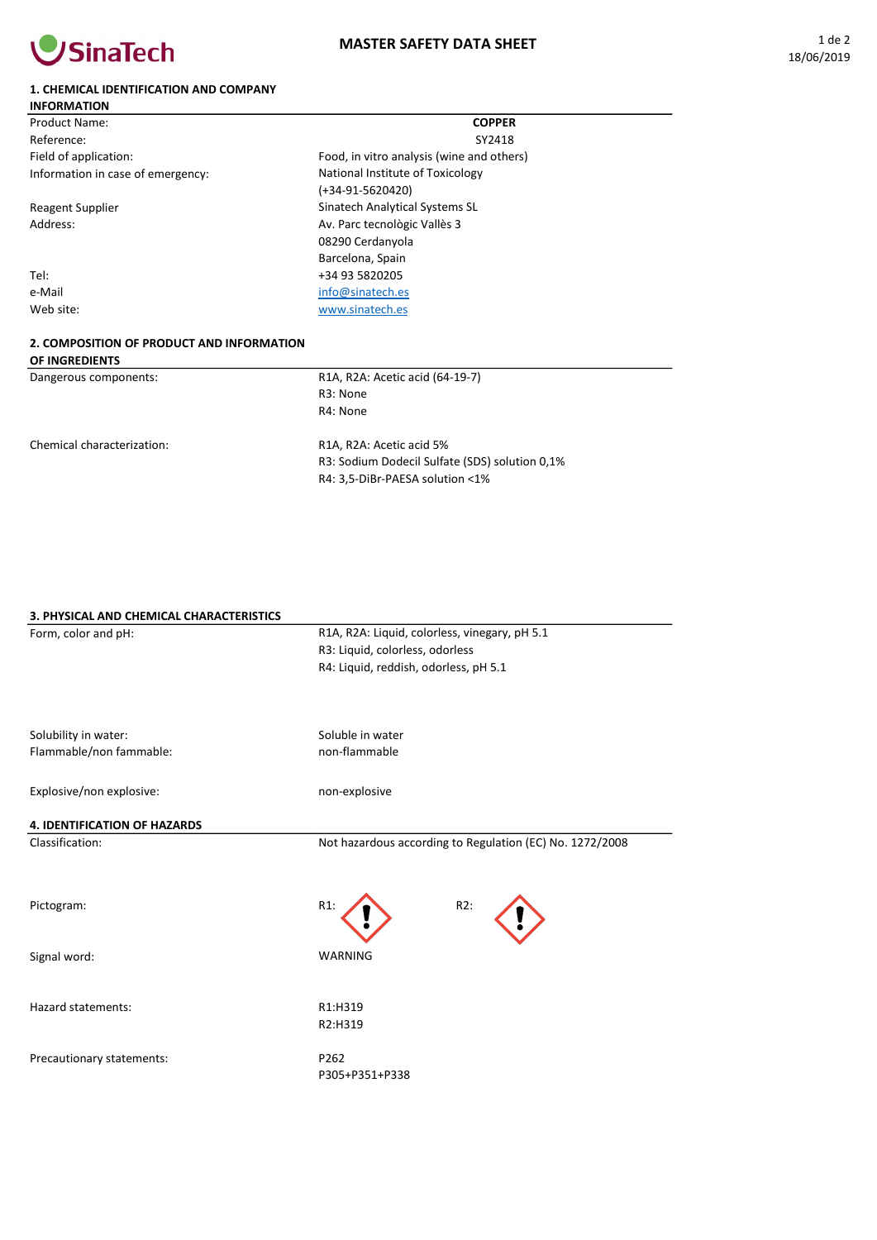

## 1. CHEMICAL IDENTIFICATION AND COMPANY

| <b>INFORMATION</b>                        |                                           |
|-------------------------------------------|-------------------------------------------|
| Product Name:                             | <b>COPPER</b>                             |
| Reference:                                | SY2418                                    |
| Field of application:                     | Food, in vitro analysis (wine and others) |
| Information in case of emergency:         | National Institute of Toxicology          |
|                                           | $(+34-91-5620420)$                        |
| <b>Reagent Supplier</b>                   | Sinatech Analytical Systems SL            |
| Address:                                  | Av. Parc tecnològic Vallès 3              |
|                                           | 08290 Cerdanyola                          |
|                                           | Barcelona, Spain                          |
| Tel:                                      | +34 93 5820205                            |
| e-Mail                                    | info@sinatech.es                          |
| Web site:                                 | www.sinatech.es                           |
| 2. COMPOSITION OF PRODUCT AND INFORMATION |                                           |
| OF INGREDIENTS                            |                                           |

| Dangerous components:      | R1A, R2A: Acetic acid (64-19-7)                |
|----------------------------|------------------------------------------------|
|                            | R3: None                                       |
|                            | R4: None                                       |
| Chemical characterization: | R1A, R2A: Acetic acid 5%                       |
|                            | R3: Sodium Dodecil Sulfate (SDS) solution 0.1% |
|                            | R4: 3,5-DiBr-PAESA solution <1%                |

## 3. PHYSICAL AND CHEMICAL CHARACTERISTICS

| Form, color and pH:          | R1A, R2A: Liquid, colorless, vinegary, pH 5.1<br>R3: Liquid, colorless, odorless<br>R4: Liquid, reddish, odorless, pH 5.1 |
|------------------------------|---------------------------------------------------------------------------------------------------------------------------|
| Solubility in water:         | Soluble in water                                                                                                          |
| Flammable/non fammable:      | non-flammable                                                                                                             |
| Explosive/non explosive:     | non-explosive                                                                                                             |
| 4. IDENTIFICATION OF HAZARDS |                                                                                                                           |
| Classification:              | Not hazardous according to Regulation (EC) No. 1272/2008                                                                  |
| Pictogram:                   | R2:<br>$R1$ :                                                                                                             |
| Signal word:                 | <b>WARNING</b>                                                                                                            |
| Hazard statements:           | R1:H319<br>R2:H319                                                                                                        |
| Precautionary statements:    | P262<br>P305+P351+P338                                                                                                    |

 $\overline{\phantom{a}}$